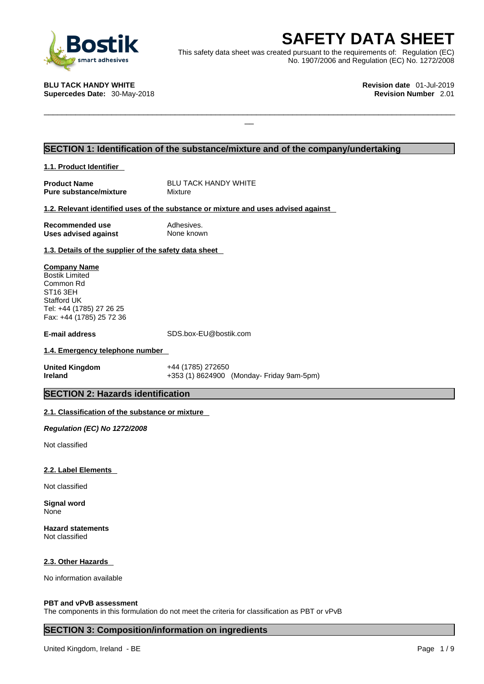

**SAFETY DATA SHEET**<br>
et was created pursuant to the requirements of: Regulation (EC)<br>
No. 1907/2006 and Regulation (EC) No. 1272/2008<br>
Revision date 01-Jul-2019<br>
Revision Number 2.01 This safety data sheet was created pursuant to the requirements of: Regulation (EC) No. 1907/2006 and Regulation (EC) No. 1272/2008

 $\Box$ 

**BLU TACK HANDY WHITE Revision date** 01-Jul-2019

**Supercedes Date: 30-May-2018** 

# **SECTION 1: Identification of the substance/mixture and of the company/undertaking**

**1.1. Product Identifier** 

**Product Name**<br> **Pure substance/mixture** Mixture Mixture **Pure substance/mixture** 

# **1.2. Relevant identified uses of the substance or mixture and uses advised against**

**Recommended use** Adhesives. **Uses advised against** None known

**1.3. Details of the supplier of the safety data sheet**

**Company Name** Bostik Limited Common Rd ST16 3EH Stafford UK Tel: +44 (1785) 27 26 25 Fax: +44 (1785) 25 72 36

**E-mail address** SDS.box-EU@bostik.com

# **1.4. Emergency telephone number**

**United Kingdom** +44 (1785) 272650 **Ireland** +353 (1) 8624900 (Monday- Friday 9am-5pm)

# **SECTION 2: Hazards identification**

# **2.1. Classification of the substance or mixture**

*Regulation (EC) No 1272/2008* 

Not classified

### **2.2. Label Elements**

Not classified

**Signal word** None

**Hazard statements** Not classified

### **2.3. Other Hazards**

No information available

### **PBT and vPvB assessment**

The components in this formulation do not meet the criteria for classification as PBT or vPvB

# **SECTION 3: Composition/information on ingredients**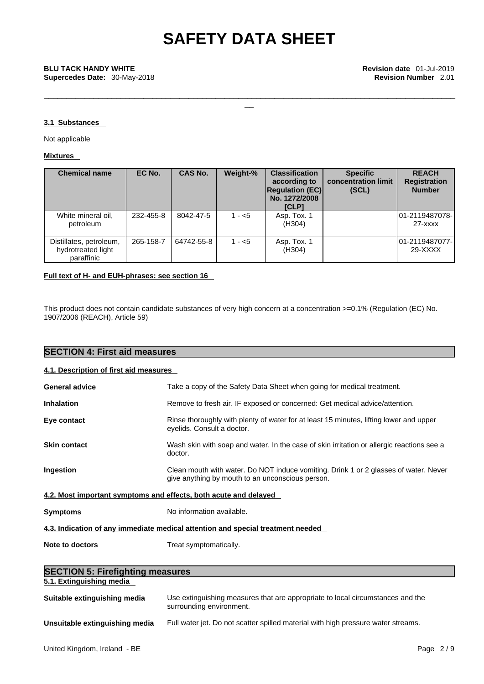\_\_\_\_\_\_\_\_\_\_\_\_\_\_\_\_\_\_\_\_\_\_\_\_\_\_\_\_\_\_\_\_\_\_\_\_\_\_\_\_\_\_\_\_\_\_\_\_\_\_\_\_\_\_\_\_\_\_\_\_\_\_\_\_\_\_\_\_\_\_\_\_\_\_\_\_\_\_\_\_\_\_\_\_\_\_\_\_\_\_\_

# **3.1 Substances**

Not applicable

# **Mixtures**

| <b>Chemical name</b>                                        | EC No.    | <b>CAS No.</b> | Weight-% | <b>Classification</b><br>according to<br><b>Regulation (EC)</b><br>No. 1272/2008<br><b>[CLP]</b> | <b>Specific</b><br>concentration limit<br>(SCL) | <b>REACH</b><br><b>Registration</b><br><b>Number</b> |
|-------------------------------------------------------------|-----------|----------------|----------|--------------------------------------------------------------------------------------------------|-------------------------------------------------|------------------------------------------------------|
| White mineral oil,<br>petroleum                             | 232-455-8 | 8042-47-5      | $1 - 5$  | Asp. Tox. 1<br>(H304)                                                                            |                                                 | 01-2119487078- <br>$27  xxx$                         |
| Distillates, petroleum,<br>hydrotreated light<br>paraffinic | 265-158-7 | 64742-55-8     | $1 - 5$  | Asp. Tox. 1<br>(H304)                                                                            |                                                 | 01-2119487077-<br>29-XXXX                            |

# **Full text of H- and EUH-phrases: see section 16**

This product does not contain candidate substances of very high concern at a concentration >=0.1% (Regulation (EC) No. 1907/2006 (REACH), Article 59)

| <b>SECTION 4: First aid measures</b>    |                                                                                                                                          |  |
|-----------------------------------------|------------------------------------------------------------------------------------------------------------------------------------------|--|
| 4.1. Description of first aid measures  |                                                                                                                                          |  |
| <b>General advice</b>                   | Take a copy of the Safety Data Sheet when going for medical treatment.                                                                   |  |
| <b>Inhalation</b>                       | Remove to fresh air. IF exposed or concerned: Get medical advice/attention.                                                              |  |
| Eye contact                             | Rinse thoroughly with plenty of water for at least 15 minutes, lifting lower and upper<br>eyelids. Consult a doctor.                     |  |
| <b>Skin contact</b>                     | Wash skin with soap and water. In the case of skin irritation or allergic reactions see a<br>doctor.                                     |  |
| Ingestion                               | Clean mouth with water. Do NOT induce vomiting. Drink 1 or 2 glasses of water. Never<br>give anything by mouth to an unconscious person. |  |
|                                         | 4.2. Most important symptoms and effects, both acute and delayed                                                                         |  |
| <b>Symptoms</b>                         | No information available.                                                                                                                |  |
|                                         | 4.3. Indication of any immediate medical attention and special treatment needed                                                          |  |
| Note to doctors                         | Treat symptomatically.                                                                                                                   |  |
| <b>SECTION 5: Firefighting measures</b> |                                                                                                                                          |  |
| 5.1. Extinguishing media                |                                                                                                                                          |  |
| Suitable extinguishing media            | Use extinguishing measures that are appropriate to local circumstances and the<br>surrounding environment.                               |  |
| Unsuitable extinguishing media          | Full water jet. Do not scatter spilled material with high pressure water streams.                                                        |  |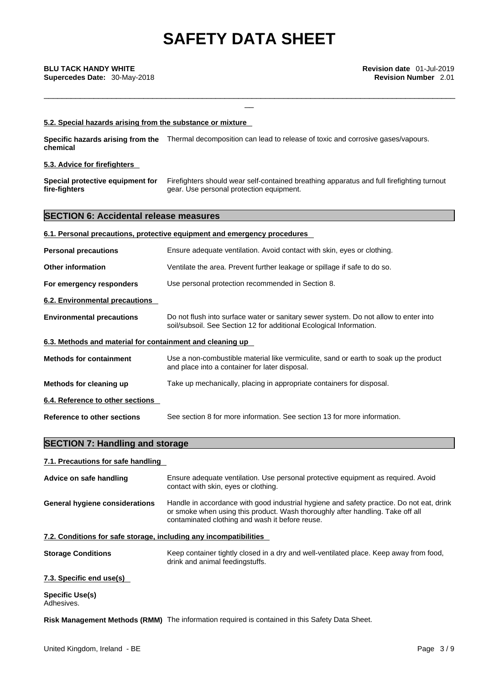\_\_\_\_\_\_\_\_\_\_\_\_\_\_\_\_\_\_\_\_\_\_\_\_\_\_\_\_\_\_\_\_\_\_\_\_\_\_\_\_\_\_\_\_\_\_\_\_\_\_\_\_\_\_\_\_\_\_\_\_\_\_\_\_\_\_\_\_\_\_\_\_\_\_\_\_\_\_\_\_\_\_\_\_\_\_\_\_\_\_\_

#### **5.2. Special hazards arising from the substance or mixture**

**Specific hazards arising from the** Thermal decomposition can lead to release of toxic and corrosive gases/vapours. **chemical**

## **5.3. Advice for firefighters**

| Special protective equipment for | Firefighters should wear self-contained breathing apparatus and full firefighting turnout |
|----------------------------------|-------------------------------------------------------------------------------------------|
| fire-fighters                    | gear. Use personal protection equipment.                                                  |

# **SECTION 6: Accidental release measures**

| 6.1. Personal precautions, protective equipment and emergency procedures |
|--------------------------------------------------------------------------|
|--------------------------------------------------------------------------|

| <b>Personal precautions</b><br>Ensure adequate ventilation. Avoid contact with skin, eyes or clothing. |  |
|--------------------------------------------------------------------------------------------------------|--|
|--------------------------------------------------------------------------------------------------------|--|

- **Other information** Ventilate the area. Prevent further leakage or spillage if safe to do so.
- **For emergency responders** Use personal protection recommended in Section 8.
- **6.2. Environmental precautions**
- **Environmental precautions** Do not flush into surface water or sanitary sewer system. Do not allow to enter into soil/subsoil. See Section 12 for additional Ecological Information.

# **6.3. Methods and material for containment and cleaning up**

**Methods for containment** Use a non-combustible material like vermiculite, sand or earth to soak up the product and place into a container for later disposal.

# **Methods for cleaning up** Take up mechanically, placing in appropriate containers for disposal.

### **6.4. Reference to other sections**

**SECTION 7: Handling and storage** 

**Reference to other sections** See section 8 for more information. See section 13 for more information.

| 7.1. Precautions for safe handling                                |                                                                                                                                                                                                                               |
|-------------------------------------------------------------------|-------------------------------------------------------------------------------------------------------------------------------------------------------------------------------------------------------------------------------|
| Advice on safe handling                                           | Ensure adequate ventilation. Use personal protective equipment as required. Avoid<br>contact with skin, eyes or clothing.                                                                                                     |
| <b>General hygiene considerations</b>                             | Handle in accordance with good industrial hygiene and safety practice. Do not eat, drink<br>or smoke when using this product. Wash thoroughly after handling. Take off all<br>contaminated clothing and wash it before reuse. |
| 7.2. Conditions for safe storage, including any incompatibilities |                                                                                                                                                                                                                               |
| <b>Storage Conditions</b>                                         | Keep container tightly closed in a dry and well-ventilated place. Keep away from food,<br>drink and animal feedingstuffs.                                                                                                     |
| 7.3. Specific end use(s)                                          |                                                                                                                                                                                                                               |
| Snecific Llse(s)                                                  |                                                                                                                                                                                                                               |

**Specific Use(s)** Adhesives.

**Risk Management Methods (RMM)** The information required is contained in this Safety Data Sheet.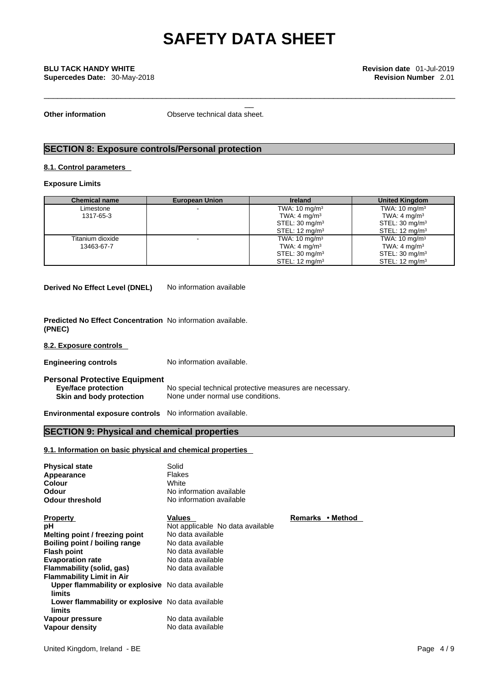\_\_\_\_\_\_\_\_\_\_\_\_\_\_\_\_\_\_\_\_\_\_\_\_\_\_\_\_\_\_\_\_\_\_\_\_\_\_\_\_\_\_\_\_\_\_\_\_\_\_\_\_\_\_\_\_\_\_\_\_\_\_\_\_\_\_\_\_\_\_\_\_\_\_\_\_\_\_\_\_\_\_\_\_\_\_\_\_\_\_\_

**Other information** Observe technical data sheet.

# **SECTION 8: Exposure controls/Personal protection**

## **8.1. Control parameters**

**Exposure Limits**

| <b>Chemical name</b> | <b>European Union</b> | <b>Ireland</b>            | <b>United Kingdom</b>     |
|----------------------|-----------------------|---------------------------|---------------------------|
| Limestone            |                       | TWA: $10 \text{ mg/m}^3$  | TWA: $10 \text{ mg/m}^3$  |
| 1317-65-3            |                       | TWA: $4 \text{ mg/m}^3$   | TWA: $4 \text{ mg/m}^3$   |
|                      |                       | STEL: $30 \text{ mg/m}^3$ | STEL: $30 \text{ mg/m}^3$ |
|                      |                       | STEL: $12 \text{ mg/m}^3$ | STEL: $12 \text{ mg/m}^3$ |
| Titanium dioxide     |                       | TWA: $10 \text{ mg/m}^3$  | TWA: $10 \text{ mg/m}^3$  |
| 13463-67-7           |                       | TWA: $4 \text{ mg/m}^3$   | TWA: $4 \text{ mg/m}^3$   |
|                      |                       | STEL: $30 \text{ mg/m}^3$ | STEL: $30 \text{ mg/m}^3$ |
|                      |                       | STEL: $12 \text{ mg/m}^3$ | STEL: $12 \text{ mg/m}^3$ |

**Derived No Effect Level (DNEL)** No information available

**Predicted No Effect Concentration** No information available. **(PNEC)** 

**8.2. Exposure controls** 

**Engineering controls** No information available.

**Personal Protective Equipment Eye/face protection** No special technical protective measures are necessary.<br> **Skin and body protection** None under normal use conditions. **Skin and body protection** None under normal use conditions.

**Environmental exposure controls** No information available.

# **SECTION 9: Physical and chemical properties**

## **9.1. Information on basic physical and chemical properties**

| <b>Physical state</b><br>Appearance<br>Colour<br>Odour<br><b>Odour threshold</b> | Solid<br><b>Flakes</b><br>White<br>No information available<br>No information available |                  |
|----------------------------------------------------------------------------------|-----------------------------------------------------------------------------------------|------------------|
| <b>Property</b>                                                                  | Values                                                                                  | Remarks • Method |
| рH                                                                               | Not applicable No data available                                                        |                  |
| Melting point / freezing point                                                   | No data available                                                                       |                  |
| Boiling point / boiling range                                                    | No data available                                                                       |                  |
| <b>Flash point</b>                                                               | No data available                                                                       |                  |
| <b>Evaporation rate</b>                                                          | No data available                                                                       |                  |
| Flammability (solid, gas)                                                        | No data available                                                                       |                  |
| <b>Flammability Limit in Air</b>                                                 |                                                                                         |                  |
| Upper flammability or explosive No data available<br>limits                      |                                                                                         |                  |
| Lower flammability or explosive No data available<br>limits                      |                                                                                         |                  |
| Vapour pressure                                                                  | No data available                                                                       |                  |
| Vapour density                                                                   | No data available                                                                       |                  |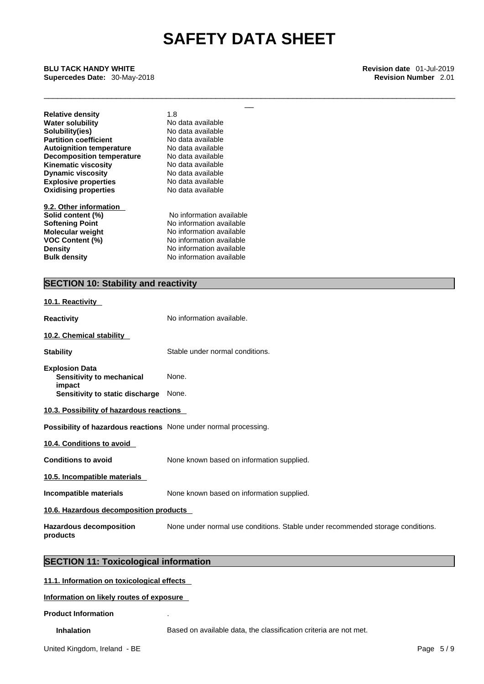\_\_\_\_\_\_\_\_\_\_\_\_\_\_\_\_\_\_\_\_\_\_\_\_\_\_\_\_\_\_\_\_\_\_\_\_\_\_\_\_\_\_\_\_\_\_\_\_\_\_\_\_\_\_\_\_\_\_\_\_\_\_\_\_\_\_\_\_\_\_\_\_\_\_\_\_\_\_\_\_\_\_\_\_\_\_\_\_\_\_\_

**BLU TACK HANDY WHITE**<br> **Supercedes Date:** 30-May-2018<br> **BLU TACK HANDY WHITE**<br> **Revision Number** 2.01<br>
Revision Number 2.01 **Supercedes Date:** 30-May-2018 **Revision Number** 2.01

| Water solubility<br>No data available<br>Solubility(ies)<br>No data available<br><b>Partition coefficient</b><br>No data available<br>No data available<br><b>Autoignition temperature</b><br><b>Decomposition temperature</b><br>No data available<br>Kinematic viscosity<br>No data available<br><b>Dynamic viscosity</b><br>No data available<br><b>Explosive properties</b><br>No data available<br><b>Oxidising properties</b><br>No data available | <b>Relative density</b> | 1.8 |
|----------------------------------------------------------------------------------------------------------------------------------------------------------------------------------------------------------------------------------------------------------------------------------------------------------------------------------------------------------------------------------------------------------------------------------------------------------|-------------------------|-----|
|                                                                                                                                                                                                                                                                                                                                                                                                                                                          |                         |     |
|                                                                                                                                                                                                                                                                                                                                                                                                                                                          |                         |     |
|                                                                                                                                                                                                                                                                                                                                                                                                                                                          |                         |     |
|                                                                                                                                                                                                                                                                                                                                                                                                                                                          |                         |     |
|                                                                                                                                                                                                                                                                                                                                                                                                                                                          |                         |     |
|                                                                                                                                                                                                                                                                                                                                                                                                                                                          |                         |     |
|                                                                                                                                                                                                                                                                                                                                                                                                                                                          |                         |     |
|                                                                                                                                                                                                                                                                                                                                                                                                                                                          |                         |     |
|                                                                                                                                                                                                                                                                                                                                                                                                                                                          |                         |     |

**9.2. Other information Softening Point** No information available **Molecular weight** No information available **Bulk density No information available VOC Content (%)** No information available **Density No information available** 

**Solid content (%)** No information available

# **SECTION 10: Stability and reactivity**

# **10.1. Reactivity Reactivity No information available. 10.2. Chemical stability Stability** Stable under normal conditions. **Explosion Data Sensitivity to mechanical impact**  None. **Sensitivity to static discharge** None. **10.3. Possibility of hazardous reactions Possibility of hazardous reactions** None under normal processing. **10.4. Conditions to avoid Conditions to avoid** None known based on information supplied. **10.5. Incompatible materials Incompatible materials** None known based on information supplied. **10.6. Hazardous decomposition products Hazardous decomposition products**  None under normal use conditions. Stable under recommended storage conditions.

# **SECTION 11: Toxicological information**

**11.1. Information on toxicological effects**

### **Information on likely routes of exposure**

#### **Product Information** .

**Inhalation** Based on available data, the classification criteria are not met.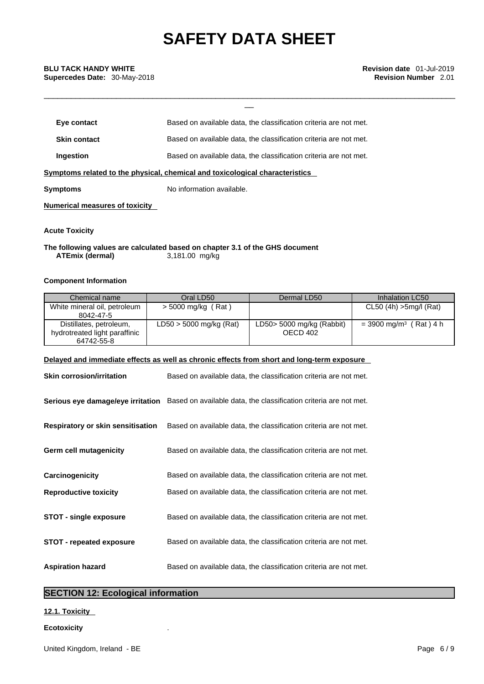\_\_\_\_\_\_\_\_\_\_\_\_\_\_\_\_\_\_\_\_\_\_\_\_\_\_\_\_\_\_\_\_\_\_\_\_\_\_\_\_\_\_\_\_\_\_\_\_\_\_\_\_\_\_\_\_\_\_\_\_\_\_\_\_\_\_\_\_\_\_\_\_\_\_\_\_\_\_\_\_\_\_\_\_\_\_\_\_\_\_\_

| Eye contact         | Based on available data, the classification criteria are not met.            |  |
|---------------------|------------------------------------------------------------------------------|--|
| <b>Skin contact</b> | Based on available data, the classification criteria are not met.            |  |
| Ingestion           | Based on available data, the classification criteria are not met.            |  |
|                     | Symptoms related to the physical, chemical and toxicological characteristics |  |
| Symptoms            | No information available.                                                    |  |

**Numerical measures of toxicity**

**Acute Toxicity** 

**The following values are calculated based on chapter 3.1 of the GHS document ATEmix** (dermal)

# **Component Information**

| Chemical name                 | Oral LD50                 | Dermal LD50               | Inhalation LC50                      |
|-------------------------------|---------------------------|---------------------------|--------------------------------------|
| White mineral oil, petroleum  | $>$ 5000 mg/kg (Rat)      |                           | $CL50$ (4h) $>5$ mg/l (Rat)          |
| 8042-47-5                     |                           |                           |                                      |
| Distillates, petroleum,       | $LD50 > 5000$ mg/kg (Rat) | LD50> 5000 mg/kg (Rabbit) | $=$ 3900 mg/m <sup>3</sup> (Rat) 4 h |
| hydrotreated light paraffinic |                           | OECD 402                  |                                      |
| 64742-55-8                    |                           |                           |                                      |

# **Delayed and immediate effects as well as chronic effects from short and long-term exposure**

| <b>Skin corrosion/irritation</b>         | Based on available data, the classification criteria are not met.                                          |
|------------------------------------------|------------------------------------------------------------------------------------------------------------|
|                                          | <b>Serious eye damage/eye irritation</b> Based on available data, the classification criteria are not met. |
| <b>Respiratory or skin sensitisation</b> | Based on available data, the classification criteria are not met.                                          |
| Germ cell mutagenicity                   | Based on available data, the classification criteria are not met.                                          |
| Carcinogenicity                          | Based on available data, the classification criteria are not met.                                          |
| <b>Reproductive toxicity</b>             | Based on available data, the classification criteria are not met.                                          |
| <b>STOT - single exposure</b>            | Based on available data, the classification criteria are not met.                                          |
| <b>STOT - repeated exposure</b>          | Based on available data, the classification criteria are not met.                                          |
| <b>Aspiration hazard</b>                 | Based on available data, the classification criteria are not met.                                          |

# **SECTION 12: Ecological information**

# **12.1. Toxicity**

# **Ecotoxicity** .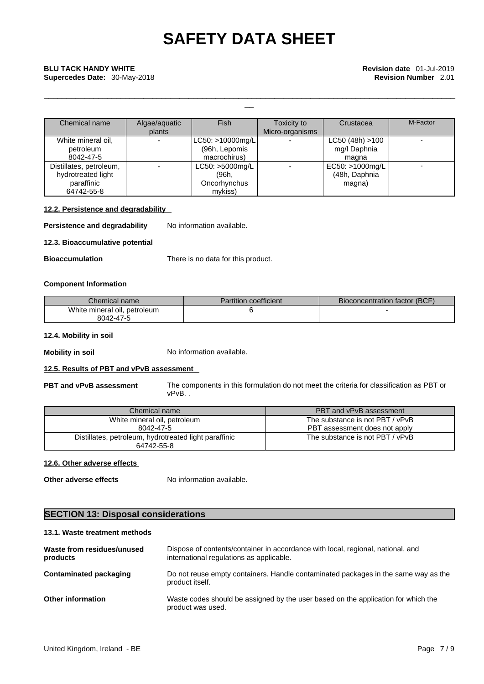\_\_\_\_\_\_\_\_\_\_\_\_\_\_\_\_\_\_\_\_\_\_\_\_\_\_\_\_\_\_\_\_\_\_\_\_\_\_\_\_\_\_\_\_\_\_\_\_\_\_\_\_\_\_\_\_\_\_\_\_\_\_\_\_\_\_\_\_\_\_\_\_\_\_\_\_\_\_\_\_\_\_\_\_\_\_\_\_\_\_\_

| Chemical name           | Algae/aquatic<br>plants | <b>Fish</b>        | Toxicity to<br>Micro-organisms | Crustacea        | M-Factor |
|-------------------------|-------------------------|--------------------|--------------------------------|------------------|----------|
| White mineral oil,      |                         | LC50: >10000mg/L   |                                | LC50 (48h) > 100 |          |
| petroleum               |                         | (96h, Lepomis      |                                | mg/l Daphnia     |          |
| 8042-47-5               |                         | macrochirus)       |                                | magna            |          |
| Distillates, petroleum, |                         | $LC50: >5000$ mg/L |                                | EC50: >1000mg/L  |          |
| hydrotreated light      |                         | (96h.              |                                | (48h, Daphnia    |          |
| paraffinic              |                         | Oncorhynchus       |                                | magna)           |          |
| 64742-55-8              |                         | mykiss)            |                                |                  |          |

# **12.2. Persistence and degradability**

**Persistence and degradability** No information available.

# **12.3. Bioaccumulative potential**

**Bioaccumulation** There is no data for this product.

# **Component Information**

| Chemical name                | <b>Partition coefficient</b> | Bioconcentration factor (BCF) |
|------------------------------|------------------------------|-------------------------------|
| White mineral oil, petroleum |                              |                               |
| 8042-47-5                    |                              |                               |

# **12.4. Mobility in soil**

**Mobility in soil** No information available.

# **12.5. Results of PBT and vPvB assessment**

**PBT and vPvB assessment** The components in this formulation do not meet the criteria for classification as PBT or vPvB. .

| Chemical name                                         | PBT and vPvB assessment         |
|-------------------------------------------------------|---------------------------------|
| White mineral oil, petroleum                          | The substance is not PBT / vPvB |
| 8042-47-5                                             | PBT assessment does not apply   |
| Distillates, petroleum, hydrotreated light paraffinic | The substance is not PBT / vPvB |
| 64742-55-8                                            |                                 |

# **12.6. Other adverse effects**

**Other adverse effects** No information available.

# **SECTION 13: Disposal considerations**

### **13.1. Waste treatment methods**

| Waste from residues/unused<br>products | Dispose of contents/container in accordance with local, regional, national, and<br>international regulations as applicable. |
|----------------------------------------|-----------------------------------------------------------------------------------------------------------------------------|
| Contaminated packaging                 | Do not reuse empty containers. Handle contaminated packages in the same way as the<br>product itself.                       |
| <b>Other information</b>               | Waste codes should be assigned by the user based on the application for which the<br>product was used.                      |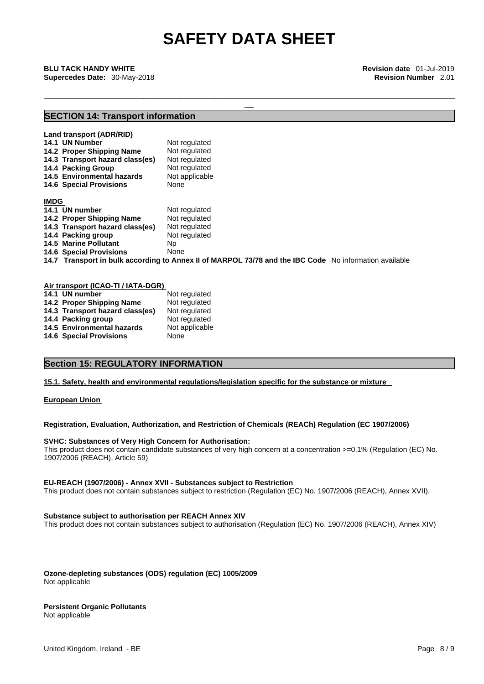\_\_\_\_\_\_\_\_\_\_\_\_\_\_\_\_\_\_\_\_\_\_\_\_\_\_\_\_\_\_\_\_\_\_\_\_\_\_\_\_\_\_\_\_\_\_\_\_\_\_\_\_\_\_\_\_\_\_\_\_\_\_\_\_\_\_\_\_\_\_\_\_\_\_\_\_\_\_\_\_\_\_\_\_\_\_\_\_\_\_\_

**BLU TACK HANDY WHITE**<br> **Supercedes Date:** 30-May-2018<br> **BLU TACK HANDY WHITE**<br> **Revision Number** 2.01<br>
Revision Number 2.01 **Supercedes Date:** 30-May-2018 **Revision Number** 2.01

# **SECTION 14: Transport information**

|             | Land transport (ADR/RID)                                                                               |                |  |
|-------------|--------------------------------------------------------------------------------------------------------|----------------|--|
|             | 14.1 UN Number                                                                                         | Not regulated  |  |
|             | 14.2 Proper Shipping Name                                                                              | Not regulated  |  |
|             | 14.3 Transport hazard class(es)                                                                        | Not regulated  |  |
|             | 14.4 Packing Group                                                                                     | Not regulated  |  |
|             | 14.5 Environmental hazards                                                                             | Not applicable |  |
|             | <b>14.6 Special Provisions</b>                                                                         | None           |  |
| <b>IMDG</b> |                                                                                                        |                |  |
|             | 14.1 UN number                                                                                         | Not regulated  |  |
|             | 14.2 Proper Shipping Name                                                                              | Not regulated  |  |
|             | 14.3 Transport hazard class(es)                                                                        | Not regulated  |  |
|             | 14.4 Packing group                                                                                     | Not regulated  |  |
|             | <b>14.5 Marine Pollutant</b>                                                                           | Np.            |  |
|             | <b>14.6 Special Provisions</b>                                                                         | None           |  |
|             | 14.7 Transport in bulk according to Annex II of MARPOL 73/78 and the IBC Code No information available |                |  |

### **Air transport (ICAO-TI / IATA-DGR)**

| 14.1 UN number                  | Not regulated  |
|---------------------------------|----------------|
| 14.2 Proper Shipping Name       | Not regulated  |
| 14.3 Transport hazard class(es) | Not regulated  |
| 14.4 Packing group              | Not regulated  |
| 14.5 Environmental hazards      | Not applicable |
| <b>14.6 Special Provisions</b>  | None           |

# **Section 15: REGULATORY INFORMATION**

# **15.1. Safety, health and environmental regulations/legislation specific for the substance or mixture**

**European Union** 

# **Registration, Evaluation, Authorization, and Restriction of Chemicals (REACh) Regulation (EC 1907/2006)**

# **SVHC: Substances of Very High Concern for Authorisation:**

This product does not contain candidate substances of very high concern at a concentration >=0.1% (Regulation (EC) No. 1907/2006 (REACH), Article 59)

#### **EU-REACH (1907/2006) - Annex XVII - Substances subject to Restriction**

This product does not contain substances subject to restriction (Regulation (EC) No. 1907/2006 (REACH), Annex XVII).

## **Substance subject to authorisation per REACH Annex XIV**

This product does not contain substances subject to authorisation (Regulation (EC) No. 1907/2006 (REACH), Annex XIV)

**Ozone-depleting substances (ODS) regulation (EC) 1005/2009** Not applicable

# **Persistent Organic Pollutants**

Not applicable